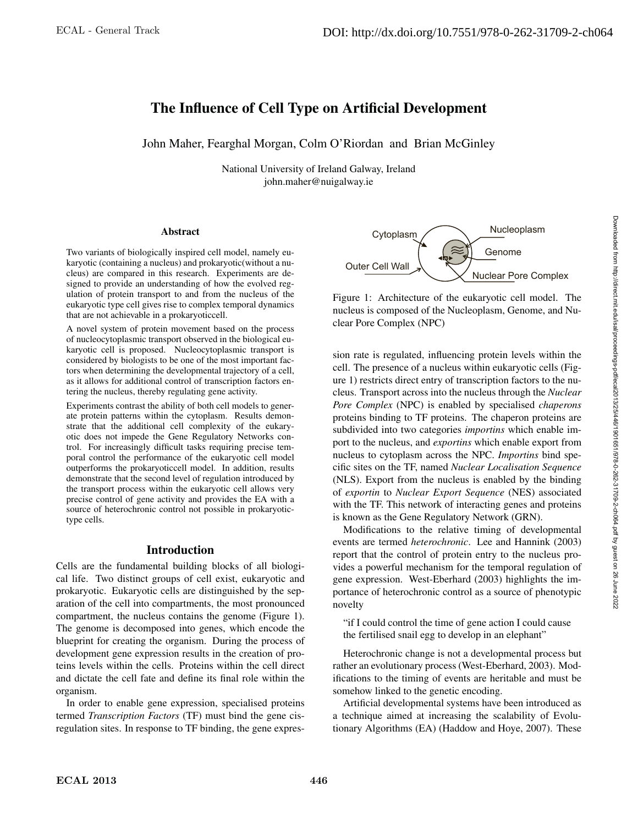# The Influence of Cell Type on Artificial Development

John Maher, Fearghal Morgan, Colm O'Riordan and Brian McGinley

National University of Ireland Galway, Ireland john.maher@nuigalway.ie

#### **Abstract**

Two variants of biologically inspired cell model, namely eukaryotic (containing a nucleus) and prokaryotic(without a nucleus) are compared in this research. Experiments are designed to provide an understanding of how the evolved regulation of protein transport to and from the nucleus of the eukaryotic type cell gives rise to complex temporal dynamics that are not achievable in a prokaryoticcell.

A novel system of protein movement based on the process of nucleocytoplasmic transport observed in the biological eukaryotic cell is proposed. Nucleocytoplasmic transport is considered by biologists to be one of the most important factors when determining the developmental trajectory of a cell, as it allows for additional control of transcription factors entering the nucleus, thereby regulating gene activity.

Experiments contrast the ability of both cell models to generate protein patterns within the cytoplasm. Results demonstrate that the additional cell complexity of the eukaryotic does not impede the Gene Regulatory Networks control. For increasingly difficult tasks requiring precise temporal control the performance of the eukaryotic cell model outperforms the prokaryoticcell model. In addition, results demonstrate that the second level of regulation introduced by the transport process within the eukaryotic cell allows very precise control of gene activity and provides the EA with a source of heterochronic control not possible in prokaryotictype cells.

# Introduction

Cells are the fundamental building blocks of all biological life. Two distinct groups of cell exist, eukaryotic and prokaryotic. Eukaryotic cells are distinguished by the separation of the cell into compartments, the most pronounced compartment, the nucleus contains the genome (Figure 1). The genome is decomposed into genes, which encode the blueprint for creating the organism. During the process of development gene expression results in the creation of proteins levels within the cells. Proteins within the cell direct and dictate the cell fate and define its final role within the organism.

In order to enable gene expression, specialised proteins termed *Transcription Factors* (TF) must bind the gene cisregulation sites. In response to TF binding, the gene expres-



Figure 1: Architecture of the eukaryotic cell model. The nucleus is composed of the Nucleoplasm, Genome, and Nuclear Pore Complex (NPC)

sion rate is regulated, influencing protein levels within the cell. The presence of a nucleus within eukaryotic cells (Figure 1) restricts direct entry of transcription factors to the nucleus. Transport across into the nucleus through the *Nuclear Pore Complex* (NPC) is enabled by specialised *chaperons* proteins binding to TF proteins. The chaperon proteins are subdivided into two categories *importins* which enable import to the nucleus, and *exportins* which enable export from nucleus to cytoplasm across the NPC. *Importins* bind specific sites on the TF, named *Nuclear Localisation Sequence* (NLS). Export from the nucleus is enabled by the binding of *exportin* to *Nuclear Export Sequence* (NES) associated with the TF. This network of interacting genes and proteins is known as the Gene Regulatory Network (GRN).

Modifications to the relative timing of developmental events are termed *heterochronic*. Lee and Hannink (2003) report that the control of protein entry to the nucleus provides a powerful mechanism for the temporal regulation of gene expression. West-Eberhard (2003) highlights the importance of heterochronic control as a source of phenotypic novelty

"if I could control the time of gene action I could cause the fertilised snail egg to develop in an elephant"

Heterochronic change is not a developmental process but rather an evolutionary process (West-Eberhard, 2003). Modifications to the timing of events are heritable and must be somehow linked to the genetic encoding.

Artificial developmental systems have been introduced as a technique aimed at increasing the scalability of Evolutionary Algorithms (EA) (Haddow and Hoye, 2007). These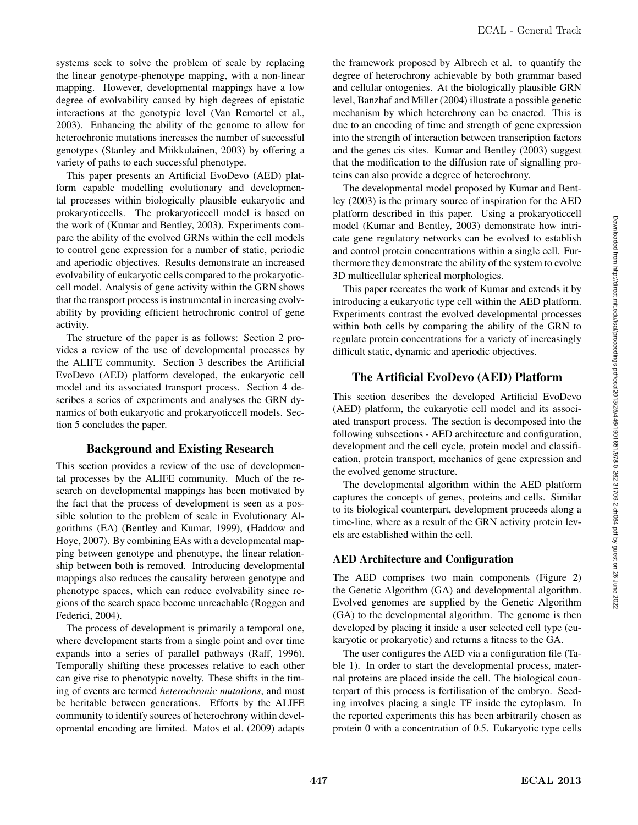systems seek to solve the problem of scale by replacing the linear genotype-phenotype mapping, with a non-linear mapping. However, developmental mappings have a low degree of evolvability caused by high degrees of epistatic interactions at the genotypic level (Van Remortel et al., 2003). Enhancing the ability of the genome to allow for heterochronic mutations increases the number of successful genotypes (Stanley and Miikkulainen, 2003) by offering a variety of paths to each successful phenotype.

This paper presents an Artificial EvoDevo (AED) platform capable modelling evolutionary and developmental processes within biologically plausible eukaryotic and prokaryoticcells. The prokaryoticcell model is based on the work of (Kumar and Bentley, 2003). Experiments compare the ability of the evolved GRNs within the cell models to control gene expression for a number of static, periodic and aperiodic objectives. Results demonstrate an increased evolvability of eukaryotic cells compared to the prokaryoticcell model. Analysis of gene activity within the GRN shows that the transport process is instrumental in increasing evolvability by providing efficient hetrochronic control of gene activity.

The structure of the paper is as follows: Section 2 provides a review of the use of developmental processes by the ALIFE community. Section 3 describes the Artificial EvoDevo (AED) platform developed, the eukaryotic cell model and its associated transport process. Section 4 describes a series of experiments and analyses the GRN dynamics of both eukaryotic and prokaryoticcell models. Section 5 concludes the paper.

# Background and Existing Research

This section provides a review of the use of developmental processes by the ALIFE community. Much of the research on developmental mappings has been motivated by the fact that the process of development is seen as a possible solution to the problem of scale in Evolutionary Algorithms (EA) (Bentley and Kumar, 1999), (Haddow and Hoye, 2007). By combining EAs with a developmental mapping between genotype and phenotype, the linear relationship between both is removed. Introducing developmental mappings also reduces the causality between genotype and phenotype spaces, which can reduce evolvability since regions of the search space become unreachable (Roggen and Federici, 2004).

The process of development is primarily a temporal one, where development starts from a single point and over time expands into a series of parallel pathways (Raff, 1996). Temporally shifting these processes relative to each other can give rise to phenotypic novelty. These shifts in the timing of events are termed *heterochronic mutations*, and must be heritable between generations. Efforts by the ALIFE community to identify sources of heterochrony within developmental encoding are limited. Matos et al. (2009) adapts

the framework proposed by Albrech et al. to quantify the degree of heterochrony achievable by both grammar based and cellular ontogenies. At the biologically plausible GRN level, Banzhaf and Miller (2004) illustrate a possible genetic mechanism by which heterchrony can be enacted. This is due to an encoding of time and strength of gene expression into the strength of interaction between transcription factors and the genes cis sites. Kumar and Bentley (2003) suggest that the modification to the diffusion rate of signalling proteins can also provide a degree of heterochrony.

The developmental model proposed by Kumar and Bentley (2003) is the primary source of inspiration for the AED platform described in this paper. Using a prokaryoticcell model (Kumar and Bentley, 2003) demonstrate how intricate gene regulatory networks can be evolved to establish and control protein concentrations within a single cell. Furthermore they demonstrate the ability of the system to evolve 3D multicellular spherical morphologies.

This paper recreates the work of Kumar and extends it by introducing a eukaryotic type cell within the AED platform. Experiments contrast the evolved developmental processes within both cells by comparing the ability of the GRN to regulate protein concentrations for a variety of increasingly difficult static, dynamic and aperiodic objectives.

# The Artificial EvoDevo (AED) Platform

This section describes the developed Artificial EvoDevo (AED) platform, the eukaryotic cell model and its associated transport process. The section is decomposed into the following subsections - AED architecture and configuration, development and the cell cycle, protein model and classification, protein transport, mechanics of gene expression and the evolved genome structure.

The developmental algorithm within the AED platform captures the concepts of genes, proteins and cells. Similar to its biological counterpart, development proceeds along a time-line, where as a result of the GRN activity protein levels are established within the cell.

# AED Architecture and Configuration

The AED comprises two main components (Figure 2) the Genetic Algorithm (GA) and developmental algorithm. Evolved genomes are supplied by the Genetic Algorithm (GA) to the developmental algorithm. The genome is then developed by placing it inside a user selected cell type (eukaryotic or prokaryotic) and returns a fitness to the GA.

The user configures the AED via a configuration file (Table 1). In order to start the developmental process, maternal proteins are placed inside the cell. The biological counterpart of this process is fertilisation of the embryo. Seeding involves placing a single TF inside the cytoplasm. In the reported experiments this has been arbitrarily chosen as protein 0 with a concentration of 0.5. Eukaryotic type cells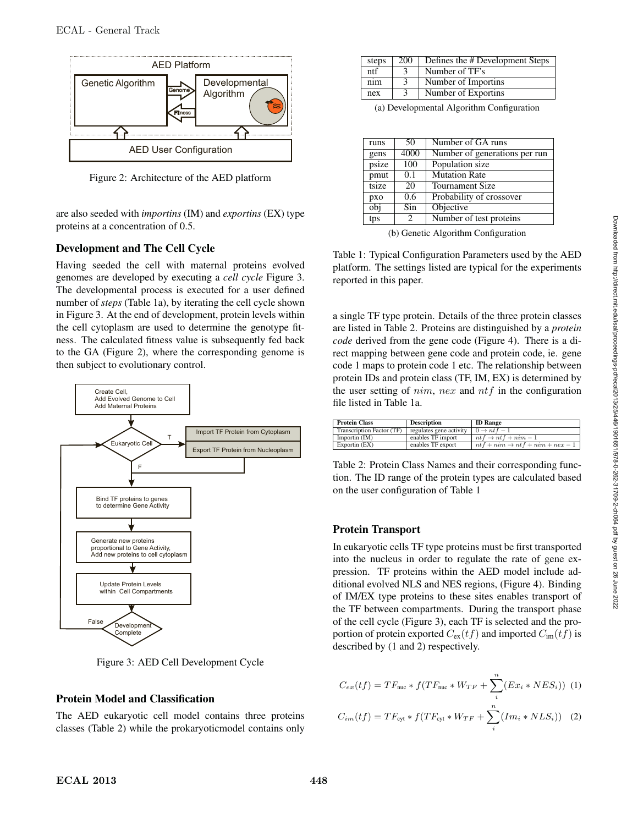

Figure 2: Architecture of the AED platform

are also seeded with *importins* (IM) and *exportins* (EX) type proteins at a concentration of 0.5.

# Development and The Cell Cycle

Having seeded the cell with maternal proteins evolved genomes are developed by executing a *cell cycle* Figure 3. The developmental process is executed for a user defined number of *steps* (Table 1a), by iterating the cell cycle shown in Figure 3. At the end of development, protein levels within the cell cytoplasm are used to determine the genotype fitness. The calculated fitness value is subsequently fed back to the GA (Figure 2), where the corresponding genome is then subject to evolutionary control.



Figure 3: AED Cell Development Cycle

# Protein Model and Classification

The AED eukaryotic cell model contains three proteins classes (Table 2) while the prokaryoticmodel contains only

| steps | 200           | Defines the # Development Steps |
|-------|---------------|---------------------------------|
| ntf   |               | Number of TF's                  |
| nim   | 3             | Number of Importing             |
| nex   | $\mathcal{E}$ | Number of Exportins             |

(a) Developmental Algorithm Configuration

| runs  | 50            | Number of GA runs             |
|-------|---------------|-------------------------------|
| gens  | 4000          | Number of generations per run |
| psize | 100           | Population size               |
| pmut  | 0.1           | Mutation Rate                 |
| tsize | 20            | <b>Tournament Size</b>        |
| pxo   | $0.6^{\circ}$ | Probability of crossover      |
| obi   | Sin           | Objective                     |
| tps   | 2             | Number of test proteins       |

(b) Genetic Algorithm Configuration

Table 1: Typical Configuration Parameters used by the AED platform. The settings listed are typical for the experiments reported in this paper.

a single TF type protein. Details of the three protein classes are listed in Table 2. Proteins are distinguished by a *protein code* derived from the gene code (Figure 4). There is a direct mapping between gene code and protein code, ie. gene code 1 maps to protein code 1 etc. The relationship between protein IDs and protein class (TF, IM, EX) is determined by the user setting of  $nim$ , nex and  $ntf$  in the configuration file listed in Table 1a.

| <b>Protein Class</b>      | Description             | <b>ID Range</b>                             |
|---------------------------|-------------------------|---------------------------------------------|
| Transcription Factor (TF) | regulates gene activity | $0 \rightarrow ntf-1$                       |
| Importin $(IM)$           | enables TF import       | $ntf \rightarrow ntf + nim - 1$             |
| Exportin (EX)             | enables TF export       | $ntf + nim \rightarrow ntf + nim + nex - 1$ |

Table 2: Protein Class Names and their corresponding function. The ID range of the protein types are calculated based on the user configuration of Table 1

# Protein Transport

In eukaryotic cells TF type proteins must be first transported into the nucleus in order to regulate the rate of gene expression. TF proteins within the AED model include additional evolved NLS and NES regions, (Figure 4). Binding of IM/EX type proteins to these sites enables transport of the TF between compartments. During the transport phase of the cell cycle (Figure 3), each TF is selected and the proportion of protein exported  $C_{\text{ex}}(tf)$  and imported  $C_{\text{im}}(tf)$  is described by (1 and 2) respectively.

$$
C_{ex}(tf) = TF_{\text{nuc}} * f(TF_{\text{nuc}} * W_{TF} + \sum_{i}^{n} (Ex_i * NES_i))
$$
 (1)

$$
C_{im}(tf) = TF_{\text{cyt}} * f(TF_{\text{cyt}} * W_{TF} + \sum_{i}^{n} (Im_i * NLS_i))
$$
 (2)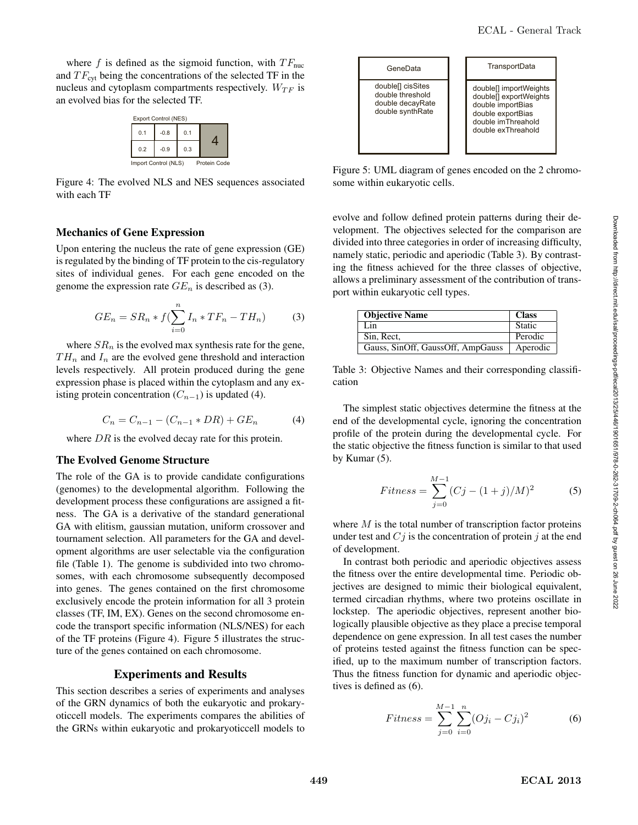where f is defined as the sigmoid function, with  $TF_{\text{nuc}}$ and  $TF_{\text{cvt}}$  being the concentrations of the selected TF in the nucleus and cytoplasm compartments respectively.  $W_{TF}$  is an evolved bias for the selected TF.

| Export Control (NES)                 |        |     |  |  |  |
|--------------------------------------|--------|-----|--|--|--|
| 0.1                                  | $-0.8$ | 0.1 |  |  |  |
| 0.2                                  | $-0.9$ | 0.3 |  |  |  |
| Import Control (NLS)<br>Protein Code |        |     |  |  |  |

Figure 4: The evolved NLS and NES sequences associated with each TF

#### Mechanics of Gene Expression

Upon entering the nucleus the rate of gene expression (GE) is regulated by the binding of TF protein to the cis-regulatory sites of individual genes. For each gene encoded on the genome the expression rate  $GE_n$  is described as (3).

$$
GE_n = SR_n * f(\sum_{i=0}^{n} I_n * TF_n - TH_n)
$$
 (3)

where  $SR_n$  is the evolved max synthesis rate for the gene,  $TH_n$  and  $I_n$  are the evolved gene threshold and interaction levels respectively. All protein produced during the gene expression phase is placed within the cytoplasm and any existing protein concentration  $(C_{n-1})$  is updated (4).

$$
C_n = C_{n-1} - (C_{n-1} * DR) + GE_n \tag{4}
$$

where  $DR$  is the evolved decay rate for this protein.

#### The Evolved Genome Structure

The role of the GA is to provide candidate configurations (genomes) to the developmental algorithm. Following the development process these configurations are assigned a fitness. The GA is a derivative of the standard generational GA with elitism, gaussian mutation, uniform crossover and tournament selection. All parameters for the GA and development algorithms are user selectable via the configuration file (Table 1). The genome is subdivided into two chromosomes, with each chromosome subsequently decomposed into genes. The genes contained on the first chromosome exclusively encode the protein information for all 3 protein classes (TF, IM, EX). Genes on the second chromosome encode the transport specific information (NLS/NES) for each of the TF proteins (Figure 4). Figure 5 illustrates the structure of the genes contained on each chromosome.

#### Experiments and Results

This section describes a series of experiments and analyses of the GRN dynamics of both the eukaryotic and prokaryoticcell models. The experiments compares the abilities of the GRNs within eukaryotic and prokaryoticcell models to



Figure 5: UML diagram of genes encoded on the 2 chromosome within eukaryotic cells.

evolve and follow defined protein patterns during their development. The objectives selected for the comparison are divided into three categories in order of increasing difficulty, namely static, periodic and aperiodic (Table 3). By contrasting the fitness achieved for the three classes of objective, allows a preliminary assessment of the contribution of transport within eukaryotic cell types.

| <b>Objective Name</b>             | <b>Class</b> |
|-----------------------------------|--------------|
| Lin                               | Static       |
| Sin. Rect.                        | Perodic      |
| Gauss, SinOff, GaussOff, AmpGauss | Aperodic     |

Table 3: Objective Names and their corresponding classification

The simplest static objectives determine the fitness at the end of the developmental cycle, ignoring the concentration profile of the protein during the developmental cycle. For the static objective the fitness function is similar to that used by Kumar (5).

$$
Fitness = \sum_{j=0}^{M-1} (Cj - (1+j)/M)^2
$$
 (5)

where  $M$  is the total number of transcription factor proteins under test and  $C_j$  is the concentration of protein j at the end of development.

In contrast both periodic and aperiodic objectives assess the fitness over the entire developmental time. Periodic objectives are designed to mimic their biological equivalent, termed circadian rhythms, where two proteins oscillate in lockstep. The aperiodic objectives, represent another biologically plausible objective as they place a precise temporal dependence on gene expression. In all test cases the number of proteins tested against the fitness function can be specified, up to the maximum number of transcription factors. Thus the fitness function for dynamic and aperiodic objectives is defined as (6).

$$
Fitness = \sum_{j=0}^{M-1} \sum_{i=0}^{n} (Oj_i - Cj_i)^2
$$
 (6)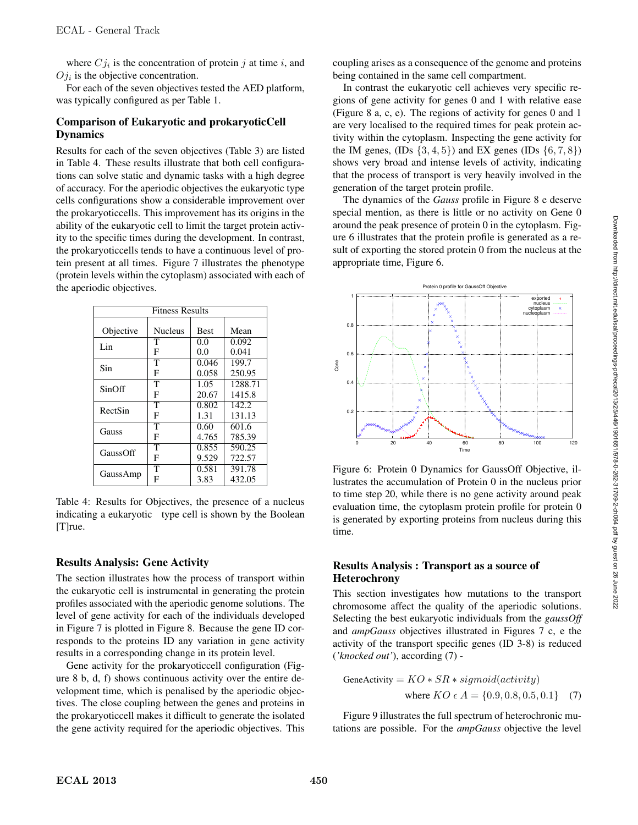where  $Cj_i$  is the concentration of protein j at time i, and  $Oj_i$  is the objective concentration.

For each of the seven objectives tested the AED platform, was typically configured as per Table 1.

## Comparison of Eukaryotic and prokaryoticCell Dynamics

Results for each of the seven objectives (Table 3) are listed in Table 4. These results illustrate that both cell configurations can solve static and dynamic tasks with a high degree of accuracy. For the aperiodic objectives the eukaryotic type cells configurations show a considerable improvement over the prokaryoticcells. This improvement has its origins in the ability of the eukaryotic cell to limit the target protein activity to the specific times during the development. In contrast, the prokaryoticcells tends to have a continuous level of protein present at all times. Figure 7 illustrates the phenotype (protein levels within the cytoplasm) associated with each of the aperiodic objectives.

| <b>Fitness Results</b> |                       |             |         |
|------------------------|-----------------------|-------------|---------|
|                        |                       |             |         |
| Objective              | <b>Nucleus</b>        | <b>Best</b> | Mean    |
| Lin                    | т                     | 0.0         | 0.092   |
|                        | F                     | 0.0         | 0.041   |
| Sin                    | T                     | 0.046       | 199.7   |
|                        | F                     | 0.058       | 250.95  |
| SinOff                 | т                     | 1.05        | 1288.71 |
|                        | F                     | 20.67       | 1415.8  |
| RectSin                | $\mathsf T$           | 0.802       | 142.2.  |
|                        | F                     | 1.31        | 131.13  |
| Gauss                  | $\overline{\text{T}}$ | 0.60        | 601.6   |
|                        | F                     | 4.765       | 785.39  |
| GaussOff               | т                     | 0.855       | 590.25  |
|                        | F                     | 9.529       | 722.57  |
|                        | T                     | 0.581       | 391.78  |
| GaussAmp               | F                     | 3.83        | 432.05  |

Table 4: Results for Objectives, the presence of a nucleus indicating a eukaryotic type cell is shown by the Boolean [T]<sub>rue.</sub>

# Results Analysis: Gene Activity

The section illustrates how the process of transport within the eukaryotic cell is instrumental in generating the protein profiles associated with the aperiodic genome solutions. The level of gene activity for each of the individuals developed in Figure 7 is plotted in Figure 8. Because the gene ID corresponds to the proteins ID any variation in gene activity results in a corresponding change in its protein level.

Gene activity for the prokaryoticcell configuration (Figure 8 b, d, f) shows continuous activity over the entire development time, which is penalised by the aperiodic objectives. The close coupling between the genes and proteins in the prokaryoticcell makes it difficult to generate the isolated the gene activity required for the aperiodic objectives. This

coupling arises as a consequence of the genome and proteins being contained in the same cell compartment.

In contrast the eukaryotic cell achieves very specific regions of gene activity for genes 0 and 1 with relative ease (Figure 8 a, c, e). The regions of activity for genes 0 and 1 are very localised to the required times for peak protein activity within the cytoplasm. Inspecting the gene activity for the IM genes,  $(IDs \{3, 4, 5\})$  and EX genes  $(IDs \{6, 7, 8\})$ shows very broad and intense levels of activity, indicating that the process of transport is very heavily involved in the generation of the target protein profile.

The dynamics of the *Gauss* profile in Figure 8 e deserve special mention, as there is little or no activity on Gene 0 around the peak presence of protein 0 in the cytoplasm. Figure 6 illustrates that the protein profile is generated as a result of exporting the stored protein 0 from the nucleus at the appropriate time, Figure 6.



Figure 6: Protein 0 Dynamics for GaussOff Objective, illustrates the accumulation of Protein 0 in the nucleus prior to time step 20, while there is no gene activity around peak evaluation time, the cytoplasm protein profile for protein 0 is generated by exporting proteins from nucleus during this time.

### Results Analysis : Transport as a source of Heterochrony

This section investigates how mutations to the transport chromosome affect the quality of the aperiodic solutions. Selecting the best eukaryotic individuals from the *gaussOff* and *ampGauss* objectives illustrated in Figures 7 c, e the activity of the transport specific genes (ID 3-8) is reduced (*'knocked out'*), according (7) -

$$
GeneActivity = KO * SR * sigmoid(activity)
$$
  
where  $KO \in A = \{0.9, 0.8, 0.5, 0.1\}$  (7)

Figure 9 illustrates the full spectrum of heterochronic mutations are possible. For the *ampGauss* objective the level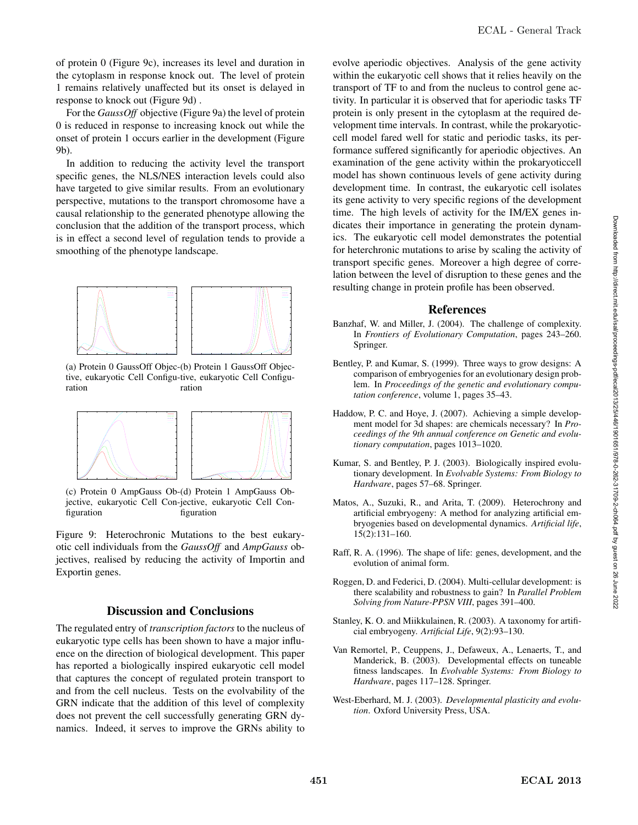of protein 0 (Figure 9c), increases its level and duration in the cytoplasm in response knock out. The level of protein 1 remains relatively unaffected but its onset is delayed in response to knock out (Figure 9d) .

For the *GaussOff* objective (Figure 9a) the level of protein 0 is reduced in response to increasing knock out while the onset of protein 1 occurs earlier in the development (Figure 9b).

In addition to reducing the activity level the transport specific genes, the NLS/NES interaction levels could also have targeted to give similar results. From an evolutionary perspective, mutations to the transport chromosome have a causal relationship to the generated phenotype allowing the conclusion that the addition of the transport process, which is in effect a second level of regulation tends to provide a smoothing of the phenotype landscape.



(a) Protein 0 GaussOff Objec-(b) Protein 1 GaussOff Objective, eukaryotic Cell Configu-tive, eukaryotic Cell Configuration ration



(c) Protein 0 AmpGauss Ob-(d) Protein 1 AmpGauss Objective, eukaryotic Cell Con-jective, eukaryotic Cell Configuration figuration

Figure 9: Heterochronic Mutations to the best eukaryotic cell individuals from the *GaussOff* and *AmpGauss* objectives, realised by reducing the activity of Importin and Exportin genes.

#### Discussion and Conclusions

The regulated entry of *transcription factors* to the nucleus of eukaryotic type cells has been shown to have a major influence on the direction of biological development. This paper has reported a biologically inspired eukaryotic cell model that captures the concept of regulated protein transport to and from the cell nucleus. Tests on the evolvability of the GRN indicate that the addition of this level of complexity does not prevent the cell successfully generating GRN dynamics. Indeed, it serves to improve the GRNs ability to

evolve aperiodic objectives. Analysis of the gene activity within the eukaryotic cell shows that it relies heavily on the transport of TF to and from the nucleus to control gene activity. In particular it is observed that for aperiodic tasks TF protein is only present in the cytoplasm at the required development time intervals. In contrast, while the prokaryoticcell model fared well for static and periodic tasks, its performance suffered significantly for aperiodic objectives. An examination of the gene activity within the prokaryoticcell model has shown continuous levels of gene activity during development time. In contrast, the eukaryotic cell isolates its gene activity to very specific regions of the development time. The high levels of activity for the IM/EX genes indicates their importance in generating the protein dynamics. The eukaryotic cell model demonstrates the potential for heterchronic mutations to arise by scaling the activity of transport specific genes. Moreover a high degree of correlation between the level of disruption to these genes and the resulting change in protein profile has been observed.

#### References

- Banzhaf, W. and Miller, J. (2004). The challenge of complexity. In *Frontiers of Evolutionary Computation*, pages 243–260. Springer.
- Bentley, P. and Kumar, S. (1999). Three ways to grow designs: A comparison of embryogenies for an evolutionary design problem. In *Proceedings of the genetic and evolutionary computation conference*, volume 1, pages 35–43.
- Haddow, P. C. and Hoye, J. (2007). Achieving a simple development model for 3d shapes: are chemicals necessary? In *Proceedings of the 9th annual conference on Genetic and evolutionary computation*, pages 1013–1020.
- Kumar, S. and Bentley, P. J. (2003). Biologically inspired evolutionary development. In *Evolvable Systems: From Biology to Hardware*, pages 57–68. Springer.
- Matos, A., Suzuki, R., and Arita, T. (2009). Heterochrony and artificial embryogeny: A method for analyzing artificial embryogenies based on developmental dynamics. *Artificial life*, 15(2):131–160.
- Raff, R. A. (1996). The shape of life: genes, development, and the evolution of animal form.
- Roggen, D. and Federici, D. (2004). Multi-cellular development: is there scalability and robustness to gain? In *Parallel Problem Solving from Nature-PPSN VIII*, pages 391–400.
- Stanley, K. O. and Miikkulainen, R. (2003). A taxonomy for artificial embryogeny. *Artificial Life*, 9(2):93–130.
- Van Remortel, P., Ceuppens, J., Defaweux, A., Lenaerts, T., and Manderick, B. (2003). Developmental effects on tuneable fitness landscapes. In *Evolvable Systems: From Biology to Hardware*, pages 117–128. Springer.
- West-Eberhard, M. J. (2003). *Developmental plasticity and evolution*. Oxford University Press, USA.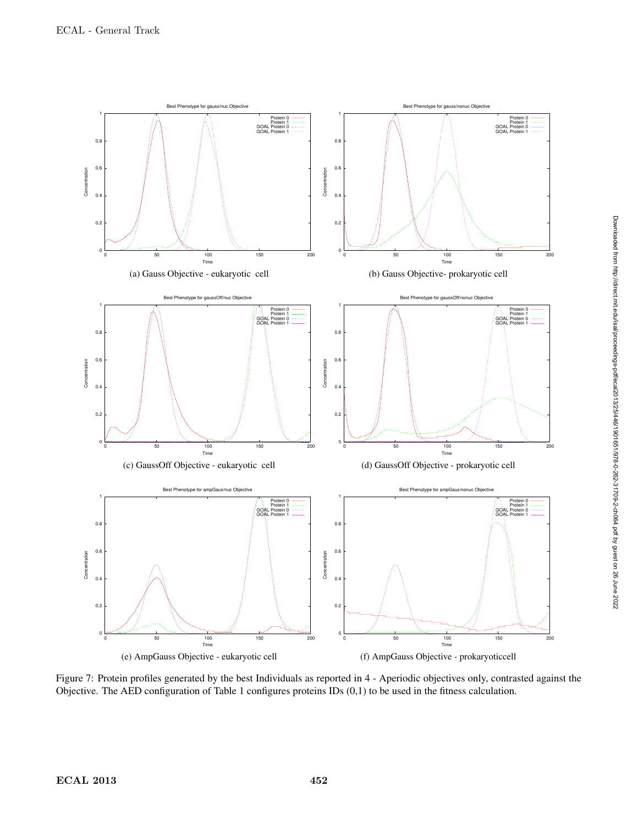

Figure 7: Protein profiles generated by the best Individuals as reported in 4 - Aperiodic objectives only, contrasted against the Objective. The AED configuration of Table 1 configures proteins IDs (0,1) to be used in the fitness calculation.